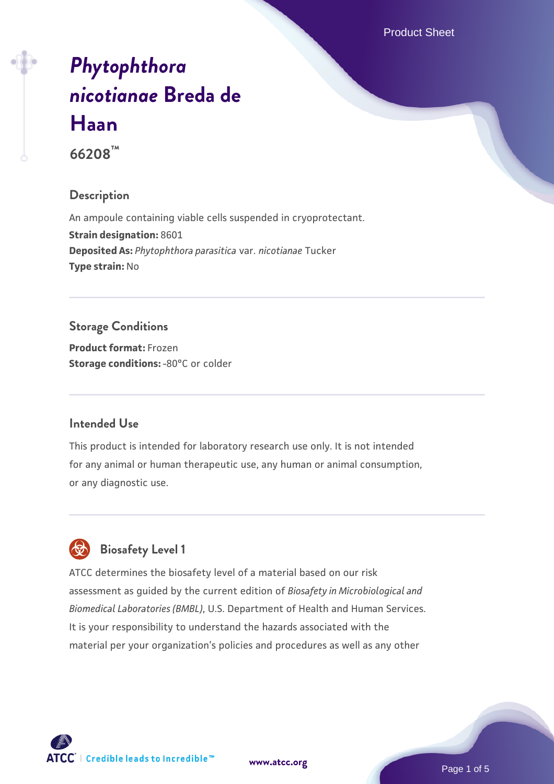Product Sheet

# *[Phytophthora](https://www.atcc.org/products/66208) [nicotianae](https://www.atcc.org/products/66208)* **[Breda de](https://www.atcc.org/products/66208) [Haan](https://www.atcc.org/products/66208)**

**66208™**

#### **Description**

An ampoule containing viable cells suspended in cryoprotectant. **Strain designation:** 8601 **Deposited As:** *Phytophthora parasitica* var. *nicotianae* Tucker **Type strain:** No

# **Storage Conditions**

**Product format:** Frozen **Storage conditions: -80°C** or colder

#### **Intended Use**

This product is intended for laboratory research use only. It is not intended for any animal or human therapeutic use, any human or animal consumption, or any diagnostic use.



# **Biosafety Level 1**

ATCC determines the biosafety level of a material based on our risk assessment as guided by the current edition of *Biosafety in Microbiological and Biomedical Laboratories (BMBL)*, U.S. Department of Health and Human Services. It is your responsibility to understand the hazards associated with the material per your organization's policies and procedures as well as any other

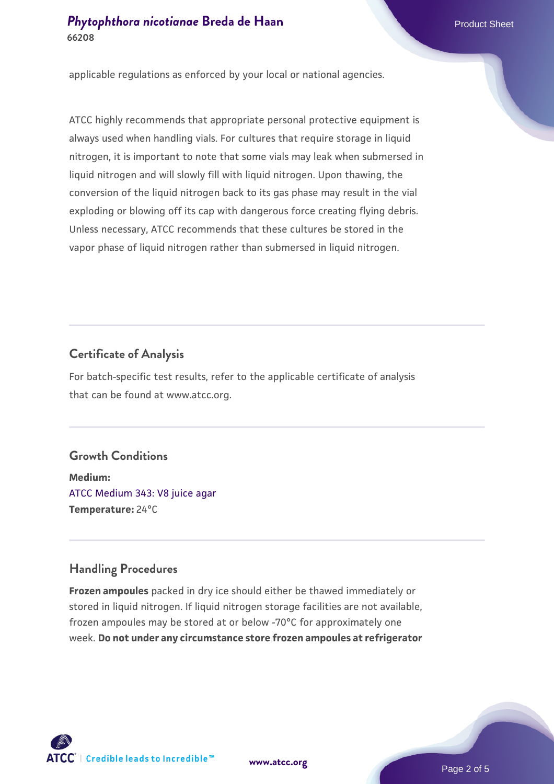applicable regulations as enforced by your local or national agencies.

ATCC highly recommends that appropriate personal protective equipment is always used when handling vials. For cultures that require storage in liquid nitrogen, it is important to note that some vials may leak when submersed in liquid nitrogen and will slowly fill with liquid nitrogen. Upon thawing, the conversion of the liquid nitrogen back to its gas phase may result in the vial exploding or blowing off its cap with dangerous force creating flying debris. Unless necessary, ATCC recommends that these cultures be stored in the vapor phase of liquid nitrogen rather than submersed in liquid nitrogen.

#### **Certificate of Analysis**

For batch-specific test results, refer to the applicable certificate of analysis that can be found at www.atcc.org.

#### **Growth Conditions**

**Medium:**  [ATCC Medium 343: V8 juice agar](https://www.atcc.org/-/media/product-assets/documents/microbial-media-formulations/3/4/3/atcc-medium-0343.pdf?rev=fbf48fa24e664932828269db1822ab12) **Temperature:** 24°C

#### **Handling Procedures**

**Frozen ampoules** packed in dry ice should either be thawed immediately or stored in liquid nitrogen. If liquid nitrogen storage facilities are not available, frozen ampoules may be stored at or below -70°C for approximately one week. **Do not under any circumstance store frozen ampoules at refrigerator**



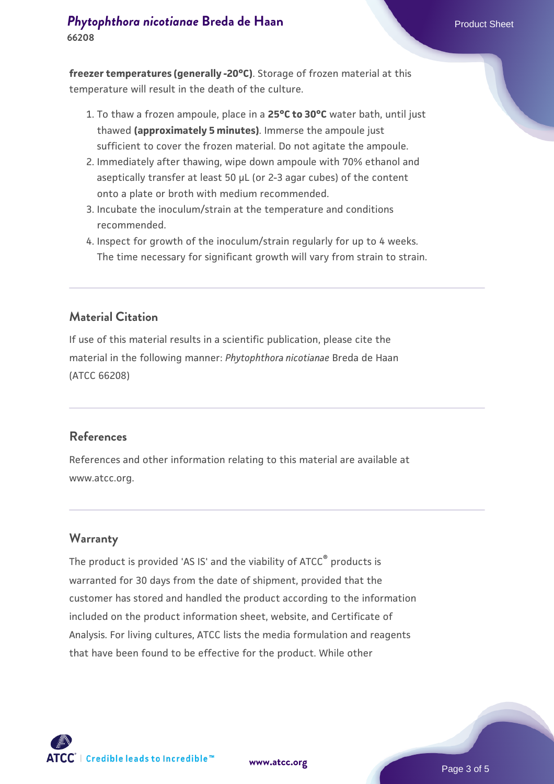#### **[Phytophthora nicotianae](https://www.atcc.org/products/66208) [Breda de Haan](https://www.atcc.org/products/66208)** Product Sheet **66208**

**freezer temperatures (generally -20°C)**. Storage of frozen material at this temperature will result in the death of the culture.

- 1. To thaw a frozen ampoule, place in a **25°C to 30°C** water bath, until just thawed **(approximately 5 minutes)**. Immerse the ampoule just sufficient to cover the frozen material. Do not agitate the ampoule.
- 2. Immediately after thawing, wipe down ampoule with 70% ethanol and aseptically transfer at least 50 µL (or 2-3 agar cubes) of the content onto a plate or broth with medium recommended.
- 3. Incubate the inoculum/strain at the temperature and conditions recommended.
- 4. Inspect for growth of the inoculum/strain regularly for up to 4 weeks. The time necessary for significant growth will vary from strain to strain.

#### **Material Citation**

If use of this material results in a scientific publication, please cite the material in the following manner: *Phytophthora nicotianae* Breda de Haan (ATCC 66208)

#### **References**

References and other information relating to this material are available at www.atcc.org.

#### **Warranty**

The product is provided 'AS IS' and the viability of ATCC<sup>®</sup> products is warranted for 30 days from the date of shipment, provided that the customer has stored and handled the product according to the information included on the product information sheet, website, and Certificate of Analysis. For living cultures, ATCC lists the media formulation and reagents that have been found to be effective for the product. While other

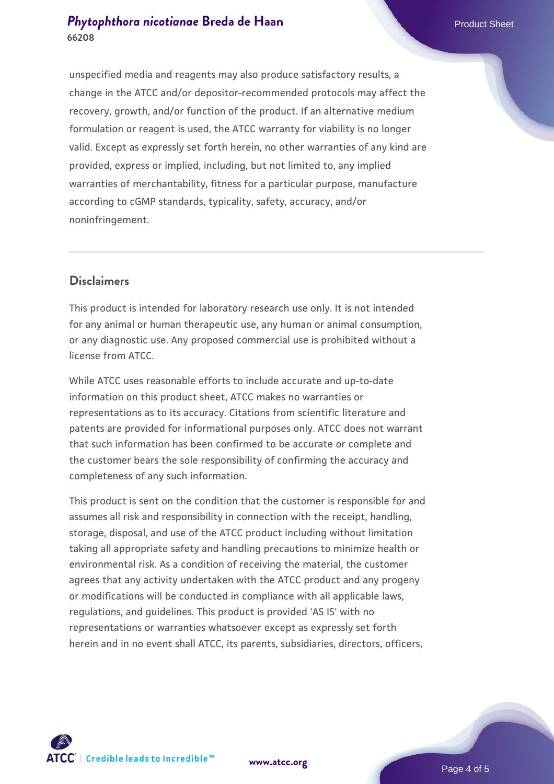#### **[Phytophthora nicotianae](https://www.atcc.org/products/66208) [Breda de Haan](https://www.atcc.org/products/66208)** Product Sheet **66208**

unspecified media and reagents may also produce satisfactory results, a change in the ATCC and/or depositor-recommended protocols may affect the recovery, growth, and/or function of the product. If an alternative medium formulation or reagent is used, the ATCC warranty for viability is no longer valid. Except as expressly set forth herein, no other warranties of any kind are provided, express or implied, including, but not limited to, any implied warranties of merchantability, fitness for a particular purpose, manufacture according to cGMP standards, typicality, safety, accuracy, and/or noninfringement.

#### **Disclaimers**

This product is intended for laboratory research use only. It is not intended for any animal or human therapeutic use, any human or animal consumption, or any diagnostic use. Any proposed commercial use is prohibited without a license from ATCC.

While ATCC uses reasonable efforts to include accurate and up-to-date information on this product sheet, ATCC makes no warranties or representations as to its accuracy. Citations from scientific literature and patents are provided for informational purposes only. ATCC does not warrant that such information has been confirmed to be accurate or complete and the customer bears the sole responsibility of confirming the accuracy and completeness of any such information.

This product is sent on the condition that the customer is responsible for and assumes all risk and responsibility in connection with the receipt, handling, storage, disposal, and use of the ATCC product including without limitation taking all appropriate safety and handling precautions to minimize health or environmental risk. As a condition of receiving the material, the customer agrees that any activity undertaken with the ATCC product and any progeny or modifications will be conducted in compliance with all applicable laws, regulations, and guidelines. This product is provided 'AS IS' with no representations or warranties whatsoever except as expressly set forth herein and in no event shall ATCC, its parents, subsidiaries, directors, officers,